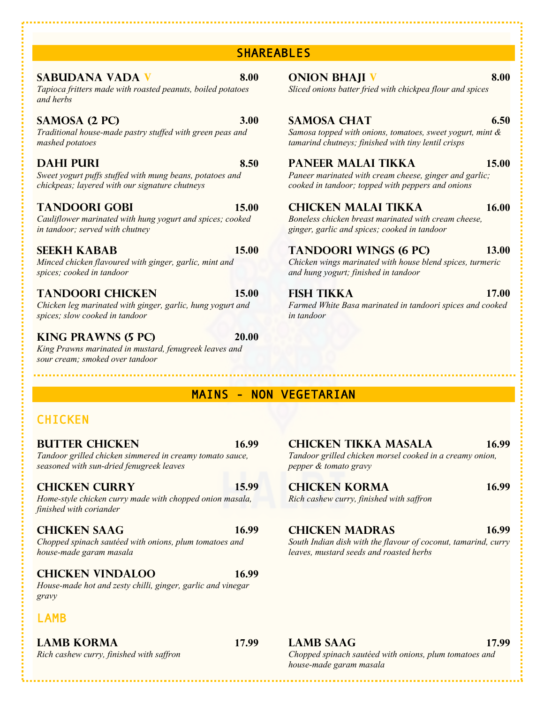| chickpeas; layered with our signature chutneys                                                                          |       | cooked in tandoor; topped with peppers and onions                                            |       |
|-------------------------------------------------------------------------------------------------------------------------|-------|----------------------------------------------------------------------------------------------|-------|
| <b>TANDOORI GOBI</b>                                                                                                    |       | <b>CHICKEN MALAI TIKKA</b>                                                                   |       |
| 15.00                                                                                                                   |       | 16.00                                                                                        |       |
| Cauliflower marinated with hung yogurt and spices; cooked                                                               |       | Boneless chicken breast marinated with cream cheese,                                         |       |
| in tandoor; served with chutney                                                                                         |       | ginger, garlic and spices; cooked in tandoor                                                 |       |
| <b>SEEKH KABAB</b>                                                                                                      |       | <b>TANDOORI WINGS (6 PC)</b>                                                                 |       |
| 15.00                                                                                                                   |       | 13.00                                                                                        |       |
| Minced chicken flavoured with ginger, garlic, mint and                                                                  |       | Chicken wings marinated with house blend spices, turmeric                                    |       |
| spices; cooked in tandoor                                                                                               |       | and hung yogurt; finished in tandoor                                                         |       |
| <b>TANDOORI CHICKEN</b><br>Chicken leg marinated with ginger, garlic, hung yogurt and<br>spices; slow cooked in tandoor | 15.00 | <b>FISH TIKKA</b><br>Farmed White Basa marinated in tandoori spices and cooked<br>in tandoor | 17.00 |

*King Prawns marinated in mustard, fenugreek leaves and sour cream; smoked over tandoor*

*Tapioca fritters made with roasted peanuts, boiled potatoes* 

*Traditional house-made pastry stuffed with green peas and* 

*Sweet yogurt puffs stuffed with mung beans, potatoes and* 

**KING PRAWNS (5 PC) 20.00**

**SABUDANA VADA V 8.00 ONION BHAJI V 8.00** *Sliced onions batter fried with chickpea flour and spices*

### **SAMOSA (2 PC) 3.00 SAMOSA CHAT 6.50**

*Samosa topped with onions, tomatoes, sweet yogurt, mint & tamarind chutneys; finished with tiny lentil crisps*

### **DAHI PURI 8.50 PANEER MALAI TIKKA 15.00**

*Paneer marinated with cream cheese, ginger and garlic;*   $ed$  in tandoor; topped with peppers and onions

# MAINS - NON VEGETARIAN

SHAREABLES

# **CHICKEN**

*and herbs*

*mashed potatoes*

*Tandoor grilled chicken simmered in creamy tomato sauce, seasoned with sun-dried fenugreek leaves*

*Home-style chicken curry made with chopped onion masala, finished with coriander*

### **CHICKEN SAAG 16.99 CHICKEN MADRAS 16.99**

*Chopped spinach sautéed with onions, plum tomatoes and house-made garam masala*

### **CHICKEN VINDALOO 16.99**

*House-made hot and zesty chilli, ginger, garlic and vinegar gravy*

# LAMB

**LAMB KORMA 17.99 LAMB SAAG 17.99**

**BUTTER CHICKEN 16.99 CHICKEN TIKKA MASALA 16.99** *Tandoor grilled chicken morsel cooked in a creamy onion, pepper & tomato gravy*

# **CHICKEN CURRY 15.99 CHICKEN KORMA 16.99**

*Rich cashew curry, finished with saffron*

*South Indian dish with the flavour of coconut, tamarind, curry leaves, mustard seeds and roasted herbs*

*Rich cashew curry, finished with saffron Chopped spinach sautéed with onions, plum tomatoes and house-made garam masala*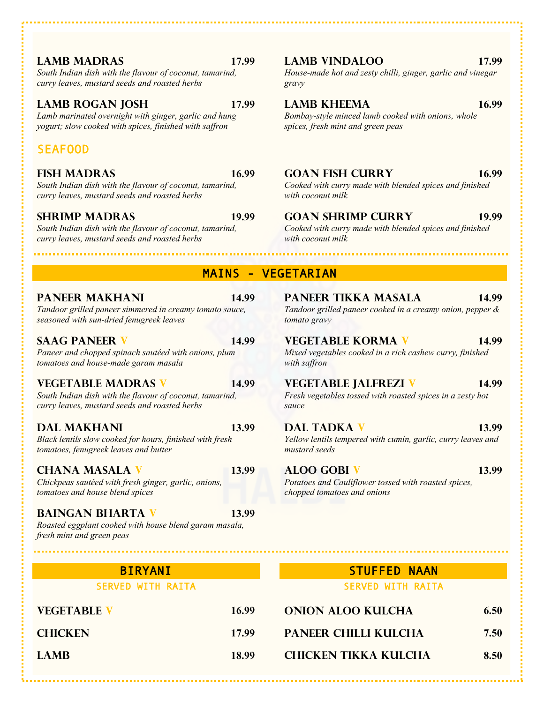*South Indian dish with the flavour of coconut, tamarind, curry leaves, mustard seeds and roasted herbs*

### **LAMB ROGAN JOSH 17.99 LAMB KHEEMA 16.99**

*Lamb marinated overnight with ginger, garlic and hung yogurt; slow cooked with spices, finished with saffron*

### SEAFOOD

*South Indian dish with the flavour of coconut, tamarind, curry leaves, mustard seeds and roasted herbs*

*South Indian dish with the flavour of coconut, tamarind, curry leaves, mustard seeds and roasted herbs*

*Tandoor grilled paneer simmered in creamy tomato sauce, seasoned with sun-dried fenugreek leaves*

*Paneer and chopped spinach sautéed with onions, plum tomatoes and house-made garam masala*

*South Indian dish with the flavour of coconut, tamarind, curry leaves, mustard seeds and roasted herbs*

*Black lentils slow cooked for hours, finished with fresh tomatoes, fenugreek leaves and butter*

*Chickpeas sautéed with fresh ginger, garlic, onions, tomatoes and house blend spices*

### **BAINGAN BHARTA V 13.99**

*Roasted eggplant cooked with house blend garam masala, fresh mint and green peas*

| <b>EGETABLE V</b> | 16  |
|-------------------|-----|
| <b>HICKEN</b>     | 17. |

### **LAMB MADRAS 17.99 LAMB VINDALOO 17.99**

*House-made hot and zesty chilli, ginger, garlic and vinegar gravy*

*Bombay-style minced lamb cooked with onions, whole spices, fresh mint and green peas*

### **FISH MADRAS 16.99 GOAN FISH CURRY 16.99**

*Cooked with curry made with blended spices and finished with coconut milk*

### **SHRIMP MADRAS 19.99 GOAN SHRIMP CURRY 19.99**

*Cooked with curry made with blended spices and finished with coconut milk*

### MAINS - VEGETARIAN

### **PANEER MAKHANI 14.99 PANEER TIKKA MASALA 14.99**

*Tandoor grilled paneer cooked in a creamy onion, pepper & tomato gravy*

### **SAAG PANEER V 14.99 VEGETABLE KORMA V 14.99**

*Mixed vegetables cooked in a rich cashew curry, finished with saffron*

### **VEGETABLE MADRAS V 14.99 VEGETABLE JALFREZI V 14.99**

*Fresh vegetables tossed with roasted spices in a zesty hot sauce*

### **DAL MAKHANI 13.99 DAL TADKA V 13.99**

*Yellow lentils tempered with cumin, garlic, curry leaves and mustard seeds*

## **CHANA MASALA V 13.99 ALOO GOBI V 13.99**

*Potatoes and Cauliflower tossed with roasted spices, chopped tomatoes and onions*

### BIRYANI STUFFED NAAN SERVED WITH RAITA SERVED WITH RAITA

# **VEGETABLE V 16.99 ONION ALOO KULCHA 6.50 CHICKEN 17.99 PANEER CHILLI KULCHA 7.50 LAMB 18.99 CHICKEN TIKKA KULCHA 8.50**